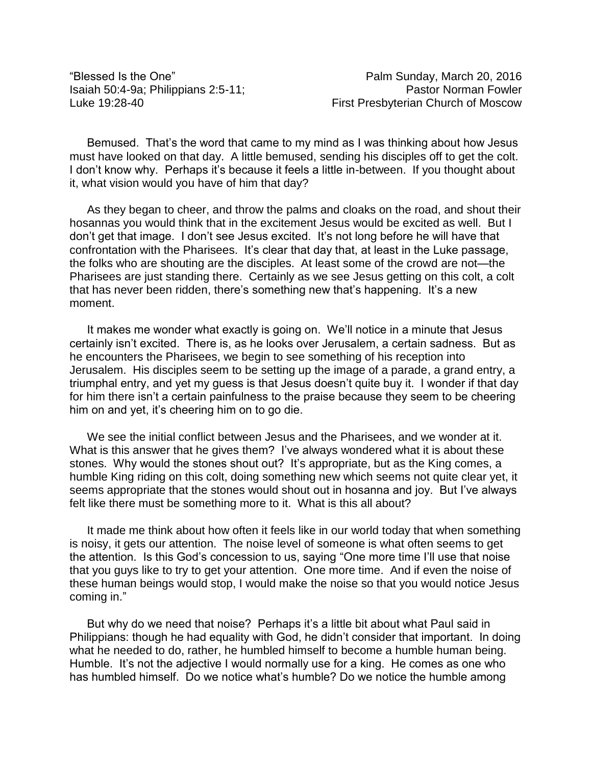Bemused. That's the word that came to my mind as I was thinking about how Jesus must have looked on that day. A little bemused, sending his disciples off to get the colt. I don't know why. Perhaps it's because it feels a little in-between. If you thought about it, what vision would you have of him that day?

As they began to cheer, and throw the palms and cloaks on the road, and shout their hosannas you would think that in the excitement Jesus would be excited as well. But I don't get that image. I don't see Jesus excited. It's not long before he will have that confrontation with the Pharisees. It's clear that day that, at least in the Luke passage, the folks who are shouting are the disciples. At least some of the crowd are not—the Pharisees are just standing there. Certainly as we see Jesus getting on this colt, a colt that has never been ridden, there's something new that's happening. It's a new moment.

It makes me wonder what exactly is going on. We'll notice in a minute that Jesus certainly isn't excited. There is, as he looks over Jerusalem, a certain sadness. But as he encounters the Pharisees, we begin to see something of his reception into Jerusalem. His disciples seem to be setting up the image of a parade, a grand entry, a triumphal entry, and yet my guess is that Jesus doesn't quite buy it. I wonder if that day for him there isn't a certain painfulness to the praise because they seem to be cheering him on and yet, it's cheering him on to go die.

We see the initial conflict between Jesus and the Pharisees, and we wonder at it. What is this answer that he gives them? I've always wondered what it is about these stones. Why would the stones shout out? It's appropriate, but as the King comes, a humble King riding on this colt, doing something new which seems not quite clear yet, it seems appropriate that the stones would shout out in hosanna and joy. But I've always felt like there must be something more to it. What is this all about?

It made me think about how often it feels like in our world today that when something is noisy, it gets our attention. The noise level of someone is what often seems to get the attention. Is this God's concession to us, saying "One more time I'll use that noise that you guys like to try to get your attention. One more time. And if even the noise of these human beings would stop, I would make the noise so that you would notice Jesus coming in."

But why do we need that noise? Perhaps it's a little bit about what Paul said in Philippians: though he had equality with God, he didn't consider that important. In doing what he needed to do, rather, he humbled himself to become a humble human being. Humble. It's not the adjective I would normally use for a king. He comes as one who has humbled himself. Do we notice what's humble? Do we notice the humble among